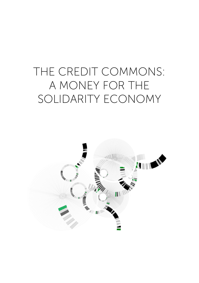# THE CREDIT COMMONS: A MONEY FOR THE SOLIDARITY ECONOMY

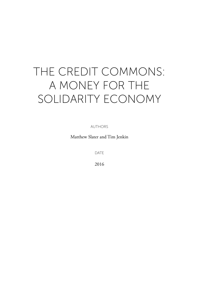# THE CREDIT COMMONS: A MONEY FOR THE SOLIDARITY ECONOMY

**AUTHORS** 

Matthew Slater and Tim Jenkin

DATE

2016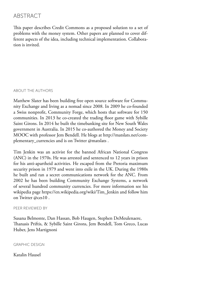# ABSTRACT

This paper describes Credit Commons as a proposed solution to a set of problems with the money system. Other papers are planned to cover different aspects of the idea, including technical implementation. Collaboration is invited.

#### ABOUT THE AUTHORS

Matthew Slater has been building free open source software for Community Exchange and living as a nomad since 2008. In 2009 he co-founded a Swiss nonprofit, Community Forge, which hosts that software for 150 communities. In 2013 he co-created the trading floor game with Sybille Saint Girons. In 2014 he built the timebanking site for New South Wales government in Australia. In 2015 he co-authored the Money and Society MOOC with professor Jem Bendell. He blogs at http://matslats.net/complementary\_currencies and is on Twitter @matslats .

Tim Jenkin was an activist for the banned African National Congress (ANC) in the 1970s. He was arrested and sentenced to 12 years in prison for his anti-apartheid activities. He escaped from the Pretoria maximum security prison in 1979 and went into exile in the UK. During the 1980s he built and ran a secret communications network for the ANC. From 2002 he has been building Community Exchange Systems, a network of several hundred community currencies. For more information see his wikipedia page https://en.wikipedia.org/wiki/Tim\_Jenkin and follow him on Twitter @ces10 .

#### PEER REVIEWED BY

Susana Belmonte, Dan Hassan, Bob Haugen, Stephen DeMeulenaere, Thanasis Priftis, & Sybille Saint Girons, Jem Bendell, Tom Greco, Lucas Huber, Jens Martignoni

#### GRAPHIC DESIGN

#### Katalin Hausel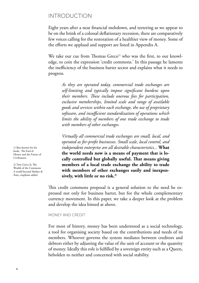### INTRODUCTION

Eight years after a near financial meltdown, and teetering as we appear to be on the brink of a colossal deflationary recession, there are comparatively few voices calling for the restoration of a healthier view of money. Some of the efforts we applaud and support are listed in Appendix A.

We take our cue from Thomas  $Greco<sup>1</sup>$  who was the first, to our knowledge, to coin the expression 'credit commons.' In this passage he laments the inefficiency of the business barter sector and explains what it needs to progress.

*As they are operated today, commercial trade exchanges are self-limiting and typically impose significant burdens upon their members. These include onerous fees for participation, exclusive memberships, limited scale and range of available goods and services within each exchange, the use of proprietary software, and insufficient standardization of operations which limits the ability of members of one trade exchange to trade with members of other exchanges.*

*Virtually all commercial trade exchanges are small, local, and operated as for-profit businesses. Small scale, local control, and independent enterprise are all desirable characteristics...* **What the world needs now is a means of payment that is locally controlled but globally useful. That means giving members of a local trade exchange the ability to trade with members of other exchanges easily and inexpensively, with little or no risk.2)**

This credit commons proposal is a general solution to the need he expressed not only for business barter, but for the whole complementary currency movement. In this paper, we take a deeper look at the problem and develop the idea hinted at above.

MONEY AND CREDIT

For most of history, money has been understood as a social technology, a tool for organising society based on the contributions and needs of its members. Whoever governs the system mediates between creditors and debtors either by adjusting the value of the unit of account or the quantity of money. Ideally this role is fulfilled by a sovereign entity such as a Queen, beholden to neither and concerned with social stability.

1) Best known for his book, The End of Money and the Future of Civilization

2) Tom Greco Jr, The Wealth of the Commons: A world beyond Market & State, emphasis added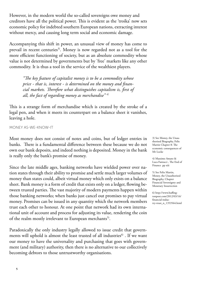However, in the modern world the so-called sovereigns owe money and creditors have all the political power. This is evident as the 'troika' now sets economic policy for indebted southern European nations, extracting interest without mercy, and causing long term social and economic damage.

Accompanying this shift in power, an unusual view of money has come to prevail in recent centuries<sup>3)</sup>. Money is now regarded not as a tool for the more efficient functioning of society, but as an absolute commodity whose value is not determined by governments but by 'free' markets like any other commodity. It is thus a tool in the service of the wealthiest players.

*"The key feature of capitalist money is to be a commodity whose price - that is, interest - is determined on the money and financial markets. Therefore what distinguishes capitalism is, first of all, the fact of regarding money as merchandise" 4)*

This is a strange form of merchandise which is created by the stroke of a legal pen, and when it meets its counterpart on a balance sheet it vanishes, leaving a hole.

MONEY AS-WE-KNOW-IT

Most money does not consist of notes and coins, but of ledger entries in banks. There is a fundamental difference between these because we do not own our bank deposits, and indeed nothing is deposited. Money in the bank is really only the bank's promise of money.

Since the late middle ages, banking networks have wielded power over nation states through their ability to promise and settle much larger volumes of money than states could, albeit virtual money which only exists on a balance sheet. Bank money is a form of credit that exists only on a ledger, flowing between trusted parties. The vast majority of modern payments happen within those banking networks; when banks just cancel out promises to pay virtual money. Promises can be issued in any quantity which the network members trust each other to honour. At one point that network had its own international unit of account and process for adjusting its value, rendering the coin of the realm mostly irrelevant to European merchants<sup>5)</sup>.

Paradoxically the only industry legally allowed to issue credit that governments will uphold is almost the least trusted of all industries<sup>6)</sup>. If we want our money to have the universality and purchasing that goes with government (and military) authority, then there is no alternative to our collectively becoming debtors to those untrustworthy organisations.

3) See Money, the Unauthorised Biography, Felix Martin Chapter 8: The economic consequences of Mr Locke

4) Massimo Amato & Luca Fantacci , The End of Finance pp xiii

5) See Felix Martin, Money, the Unauthorised Biography, Chapter Financial Sovereignty and Monetary Insurrection

6) http://www.huffingtonpost.com/2012/03/16/ financial-industry-trust\_n\_1353564.html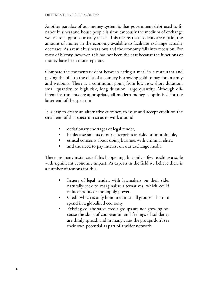#### DIFFERENT KINDS OF MONEY?

Another paradox of our money system is that government debt used to finance business and house people is simultaneously the medium of exchange we use to support our daily needs. This means that as debts are repaid, the amount of money in the economy available to facilitate exchange actually decreases. As a result business slows and the economy falls into recession. For most of history, however, this has not been the case because the functions of money have been more separate.

Compare the momentary debt between eating a meal in a restaurant and paying the bill, to the debt of a country borrowing gold to pay for an army and weapons. There is a continuum going from low risk, short duration, small quantity, to high risk, long duration, large quantity. Although different instruments are appropriate, all modern money is optimised for the latter end of the spectrum.

It is easy to create an alternative currency, to issue and accept credit on the small end of that spectrum so as to work around

- deflationary shortages of legal tender,
- banks assessments of our enterprises as risky or unprofitable,
- ethical concerns about doing business with criminal elites,
- and the need to pay interest on our exchange media.

There are many instances of this happening, but only a few reaching a scale with significant economic impact. As experts in the field we believe there is a number of reasons for this.

- Issuers of legal tender, with lawmakers on their side, naturally seek to marginalise alternatives, which could reduce profits or monopoly power.
- Credit which is only honoured in small groups is hard to spend in a globalised economy.
- Existing collaborative credit groups are not growing because the skills of cooperation and feelings of solidarity are thinly spread, and in many cases the groups don't see their own potential as part of a wider network.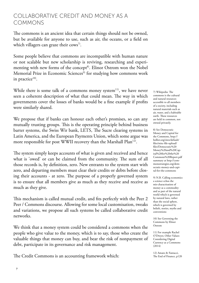## COLLABORATIVE CREDIT AND MONEY AS A COMMONS

The commons is an ancient idea that certain things should not be owned, but be available for anyone to use, such as air, the oceans, or a field on which villagers can graze their cows<sup>7)</sup>.

Some people believe that commons are incompatible with human nature or not scalable but new scholarship is reviving, researching and experimenting with new forms of the concept<sup>8)</sup>. Elinor Ostrom won the Nobel Memorial Prize in Economic Sciences<sup>9)</sup> for studying how commons work in practice $10$ .

While there is some talk of a commons money system<sup>11)</sup>, we have never seen a coherent description of what that could mean. The way in which governments cover the losses of banks would be a fine example if profits were similarly shared.

We propose that if banks can honour each other's promises, so can any mutually trusting groups. This is the operating principle behind business barter systems, the Swiss Wir bank, LETS, The Sucre clearing systems in Latin America, and the European Payments Union, which some argue was more responsible for post WWII recovery than the Marshall Plan<sup>12)</sup>.

The system simply keeps accounts of what is given and received and hence what is 'owed' or can be claimed from the community. The sum of all those records is, by definition, zero. New entrants to the system start with zero, and departing members must clear their credits or debts before closing their accounts - at zero. The purpose of a properly governed system is to ensure that all members give as much as they receive and receive as much as they give.

This mechanism is called mutual credit, and fits perfectly with the Peer 2 Peer / Commons discourse. Allowing for some local customisation, tweaks and variations, we propose all such systems be called collaborative credit networks.

We think that a money system could be considered a commons when the people who give value to the money, which is to say, those who create the valuable things that money can buy, and bear the risk of nonpayment of debt, participate in its governance and risk management.

The Credit Commons is an accounting framework which:

7) Wikipedia: The commons is the cultural and natural resources accessible to all members of a society, including natural materials such as air, water, and a habitable earth. These resources are held in common, not owned privately.

8) See Democratic Money and Capital for the Commons, http:// bollier.org/sites/default/ files/misc-file-upload/ files/Democratic%20 Money%20and%20Capital%20for%20the%20 Commons%20Report.pdf summary at http://commonsstrategies.org/democratic-money-and-capital-for-the-commons

9) N.B. Calling economics a science echos the mis-charactisation of money as a commodity and as part of the natural world which is governed by natural laws, rather than the social sphere, which is governed by beliefs, stories, myths and conventions

10) See Governing the Commons by Elinor Ostrom

11) For example Rachel O'Dwyer, Other Values: Considering Digital Currency as a Commons  $(2014)$ 

12) Amato & Fantacci, The End of Finance, p120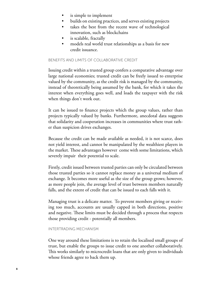- is simple to implement
- builds on existing practices, and serves existing projects
- takes the best from the recent wave of technological innovation, such as blockchains
- is scalable, fractally
- models real world trust relationships as a basis for new credit issuance.

#### BENEFITS AND LIMITS OF COLLABORATIVE CREDIT

Issuing credit within a trusted group confers a comparative advantage over large national economies; trusted credit can be freely issued to enterprise valued by the community, as the credit risk is managed by the community, instead of theoretically being assumed by the bank, for which it takes the interest when everything goes well, and loads the taxpayer with the risk when things don't work out.

It can be issued to finance projects which the group values, rather than projects typically valued by banks. Furthermore, anecdotal data suggests that solidarity and cooperation increases in communities where trust rather than suspicion drives exchanges.

Because the credit can be made available as needed, it is not scarce, does not yield interest, and cannot be manipulated by the wealthiest players in the market. These advantages however come with some limitations, which severely impair their potential to scale.

Firstly, credit issued between trusted parties can only be circulated between those trusted parties so it cannot replace money as a universal medium of exchange. It becomes more useful as the size of the group grows; however, as more people join, the average level of trust between members naturally falls, and the extent of credit that can be issued to each falls with it.

Managing trust is a delicate matter. To prevent members giving or receiving too much, accounts are usually capped in both directions, positive and negative. These limits must be decided through a process that respects those providing credit - potentially all members.

#### INTERTRADING MECHANISM

One way around these limitations is to retain the localised small groups of trust, but enable the groups to issue credit to one another collaboratively. This works similarly to microcredit loans that are only given to individuals whose friends agree to back them up.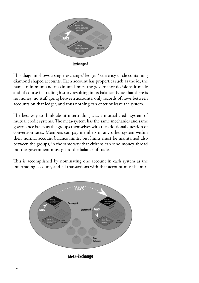

This diagram shows a single exchange/ ledger / currency circle containing diamond shaped accounts. Each account has properties such as the id, the name, minimum and maximum limits, the governance decisions it made and of course its trading history resulting in its balance. Note that there is no money, no stuff going between accounts, only records of flows between accounts on that ledger, and thus nothing can enter or leave the system.

The best way to think about intertrading is as a mutual credit system of mutual credit systems. The meta-system has the same mechanics and same governance issues as the groups themselves with the additional question of conversion rates. Members can pay members in any other system within their normal account balance limits, but limits must be maintained also between the groups, in the same way that citizens can send money abroad but the government must guard the balance of trade.

This is accomplished by nominating one account in each system as the intertrading account, and all transactions with that account must be mir-



Meta-Exchange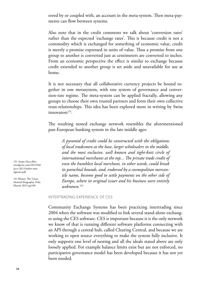rored by or coupled with, an account in the meta-system. Then meta-payments can flow between systems.

Also note that in the credit commons we talk about 'conversion rates' rather than the expected 'exchange rates'. This is because credit is not a commodity which is exchanged for something of economic value, credit is merely a promise expressed in units of value. Thus a promise from one group to another is converted just as centimeters are converted to inches. From an economic perspective the effect is similar to exchange because credit extended to another group is set aside and unavailable for use at home.

It is not necessary that all collaborative currency projects be bound together in one metasystem, with one system of governance and conversion-rate regime. The meta-system can be applied fractally, allowing any groups to choose their own trusted partners and form their own collective trust-relationships. This idea has been explored more in writing by Swiss  $innovators<sup>13</sup>$ .

The resulting nested exchange network resembles the aforementioned pan-European banking system in the late middle ages:

*A pyramid of credit could be constructed with the obligations of local tradesmen at the base, larger wholesalers in the middle, and the most exclusive, well known and tight-knit circle of international merchants at the top... The private trade credit of even the humblest local merchant, in other words, could break its parochial bounds, and, endorsed by a cosmopolitan mercantile name, become good to settle payments on the other side of Europe, where its original issuer and his business were entirely unknown.*14)

INTERTRADING EXPERIENCE OF CES

Community Exchange Systems has been practicing intertrading since 2004 when the software was modified to link several stand-alone exchanges using the CES software. CES is important because it is the only network we know of that is running different software platforms connecting with an API through a central hub, called Clearing Central, and because we are working to open source everything to make the system fully inclusive. It only supports one level of nesting and all the ideals stated above are only loosely applied. For example balance limits exist but are not enforced, no participative governance model has been developed because it has not yet been needed.

13) https://ijccr.files. wordpress.com/2013/04/ ijccr-2013-huber-martignoni.pdf

14) Money, The Unauthorised biography, Felix Martin 2013 pp100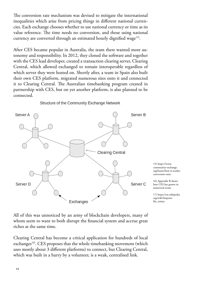The conversion rate mechanism was devised to mitigate the international inequalities which arise from pricing things in different national currencies. Each exchange chooses whether to use national currency or time as its value reference. The time needs no conversion, and those using national currency are converted through an estimated hourly dignified wage<sup>15)</sup>.

After CES became popular in Australia, the team there wanted more autonomy and responsibility. In 2012, they cloned the software and together with the CES lead developer, created a transaction clearing server, Clearing Central, which allowed exchanged to remain interoperable regardless of which server they were hosted on. Shortly after, a team in Spain also built their own CES platform, migrated numerous sites onto it and connected it to Clearing Central. The Australian timebanking program created in partnership with CES, but on yet another platform, is also planned to be connected.



Structure of the Community Exchange Network

All of this was unnoticed by an army of blockchain developers, many of whom seem to want to both disrupt the financial system and accrue great riches at the same time.

Clearing Central has become a critical application for hundreds of local exchanges<sup>16</sup>. CES proposes that the whole timebanking movement (which uses mostly about 3 different platforms) to connect, but Clearing Central, which was built in a hurry by a volunteer, is a weak, centralised link.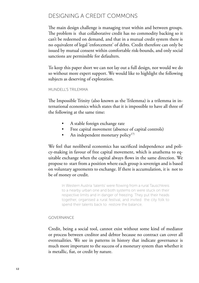## DESIGNING A CREDIT COMMONS

The main design challenge is managing trust within and between groups. The problem is that collaborative credit has no commodity backing so it can't be redeemed on demand, and that in a mutual credit system there is no equivalent of legal 'enforcement' of debts. Credit therefore can only be issued by mutual consent within comfortable risk-bounds, and only social sanctions are permissible for defaulters.

To keep this paper short we can not lay out a full design, nor would we do so without more expert support. We would like to highlight the following subjects as deserving of exploration.

#### MUNDELL'S TRILEMMA

The Impossible Trinity (also known as the Trilemma) is a trilemma in international economics which states that it is impossible to have all three of the following at the same time:

- A stable foreign exchange rate
- Free capital movement (absence of capital controls)
- An independent monetary policy<sup>17)</sup>

We feel that neoliberal economics has sacrificed independence and policy-making in favour of free capital movement, which is anathema to equitable exchange when the capital always flows in the same direction. We propose to start from a position where each group is sovereign and is based on voluntary agreements to exchange. If there is accumulation, it is not to be of money or credit.

In Western Austria 'talents' were flowing from a rural Tauschkreis to a nearby urban one and both systems on were stuck on their respective limits and in danger of freezing. They put their heads together, organised a rural festival, and invited the city folk to spend their talents back to restore the balance.

#### GOVERNANCE

Credit, being a social tool, cannot exist without some kind of mediator or process between creditor and debtor because no contract can cover all eventualities. We see in patterns in history that indicate governance is much more important to the success of a monetary system than whether it is metallic, fiat, or credit by nature.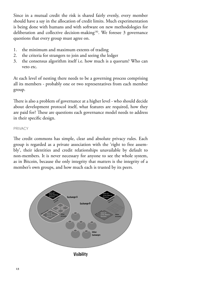Since in a mutual credit the risk is shared fairly evenly, every member should have a say in the allocation of credit limits. Much experimentation is being done with humans and with software on new methodologies for deliberation and collective decision-making18). We foresee 3 governance questions that every group must agree on.

- 1. the minimum and maximum extents of trading
- 2. the criteria for strangers to join and seeing the ledger
- 3. the consensus algorithm itself i.e. how much is a quorum? Who can veto etc.

At each level of nesting there needs to be a governing process comprising all its members - probably one or two representatives from each member group.

There is also a problem of governance at a higher level - who should decide about development protocol itself, what features are required, how they are paid for? These are questions each governance model needs to address in their specific design.

#### PRIVACY

The credit commons has simple, clear and absolute privacy rules. Each group is regarded as a private association with the 'right to free assembly', their identities and credit relationships unavailable by default to non-members. It is never necessary for anyone to see the whole system, as in Bitcoin, because the only integrity that matters is the integrity of a member's own groups, and how much each is trusted by its peers.



Visibility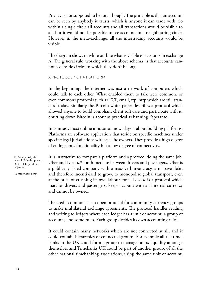Privacy is not supposed to be total though. The principle is that an account can be seen by anybody it trusts, which is anyone it can trade with. So within a single circle all accounts and all transactions would be visible to all, but it would not be possible to see accounts in a neighbouring circle. However in the meta-exchange, all the intertrading accounts would be visible.

The diagram shows in white outline what is visible to accounts in exchange A. The general rule, working with the above schema, is that accounts cannot see inside circles to which they don't belong.

#### A PROTOCOL NOT A PLATFORM

In the beginning, the internet was just a network of computers which could talk to each other. What enabled them to talk were common, or even commons protocols such as TCP, email, ftp, http which are still standard today. Similarly the Bitcoin white paper describes a protocol which allowed anyone to build compliant client software and participate with it. Shutting down Bitcoin is about as practical as banning Esperanto.

In contrast, most online innovation nowadays is about building platforms. Platforms are software application that reside on specific machines under specific legal jurisdictions with specific owners. They provide a high degree of endogenous functionality but a low degree of connectivity.

It is instructive to compare a platform and a protocol doing the same job. Uber and Lazooz<sup>19)</sup> both mediate between drivers and passengers. Uber is a publically listed company with a massive bureaucracy, a massive debt, and therefore incentivised to grow, to monopolise global transport, even at the price of crushing its own labour force. Lazooz is a protocol which matches drivers and passengers, keeps account with an internal currency and cannot be owned.

The credit commons is an open protocol for community currency groups to make multilateral exchange agreements. The protocol handles reading and writing to ledgers where each ledger has a unit of account, a group of accounts, and some rules. Each group decides its own accounting rules.

It could contain many networks which are not connected at all, and it could contain hierarchies of connected groups. For example all the timebanks in the UK could form a group to manage hours liquidity amongst themselves and Timebanks UK could be part of another group, of all the other national timebanking associations, using the same unit of account,

18) See especially the recent EU-funded project, D-CENT http://dcentproject.eu/

19) http://lazooz.org/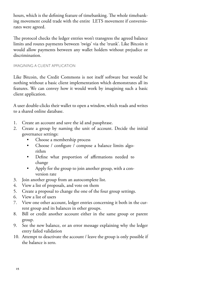hours, which is the defining feature of timebanking. The whole timebanking movement could trade with the entire LETS movement if conversiorates were agreed.

The protocol checks the ledger entries won't transgress the agreed balance limits and routes payments between 'twigs' via the 'trunk'. Like Bitcoin it would allow payments between any wallet holders without prejudice or discrimination.

#### IMAGINING A CLIENT APPLICATION

Like Bitcoin, the Credit Commons is not itself software but would be nothing without a basic client implementation which demonstrates all its features. We can convey how it would work by imagining such a basic client application.

A user double-clicks their wallet to open a window, which reads and writes to a shared online database.

- 1. Create an account and save the id and passphrase.
- 2. Create a group by naming the unit of account. Decide the initial governance settings:
	- Choose a membership process
	- Choose / configure / compose a balance limits algorithm
	- Define what proportion of affirmations needed to change
	- Apply for the group to join another group, with a conversion rate
- 3. Join another group from an autocomplete list.
- 4. View a list of proposals, and vote on them
- 5. Create a proposal to change the one of the four group settings.
- 6. View a list of users
- 7. View one other account, ledger entries concerning it both in the current group and its balances in other groups.
- 8. Bill or credit another account either in the same group or parent group.
- 9. See the new balance, or an error message explaining why the ledger entry failed validation
- 10. Attempt to deactivate the account / leave the group is only possible if the balance is zero.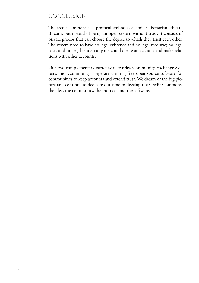# CONCLUSION

The credit commons as a protocol embodies a similar libertarian ethic to Bitcoin, but instead of being an open system without trust, it consists of private groups that can choose the degree to which they trust each other. The system need to have no legal existence and no legal recourse; no legal costs and no legal tender; anyone could create an account and make relations with other accounts.

Our two complementary currency networks, Community Exchange Systems and Community Forge are creating free open source software for communities to keep accounts and extend trust. We dream of the big picture and continue to dedicate our time to develop the Credit Commons: the idea, the community, the protocol and the software.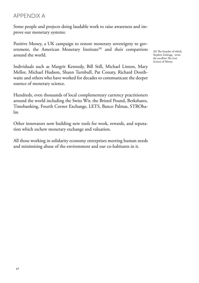## APPENDIX A

Some people and projects doing laudable work to raise awareness and improve our monetary systems:

Positive Money, a UK campaign to restore monetary sovereignty to government, the American Monetary Institute<sup>20)</sup> and their compatriots around the world.

Individuals such as Margrit Kennedy, Bill Still, Michael Linton, Mary Mellor, Michael Hudson, Shann Turnbull, Pat Conaty, Richard Douthwaite and others who have worked for decades to communicate the deeper essence of monetary science.

Hundreds, even thousands of local complementary currency practitioners around the world including the Swiss Wir, the Bristol Pound, Berkshares, Timebanking, Fourth Corner Exchange, LETS, Banco Palmas, STROhalm

Other innovators now building new tools for work, rewards, and reputation which eschew monetary exchange and valuation.

All those working in solidarity economy enterprises meeting human needs and minimising abuse of the environment and our co-habitants in it.

20) The founder of which, Stephen Zarlenga, wrote the excellent The Lost Science of Money